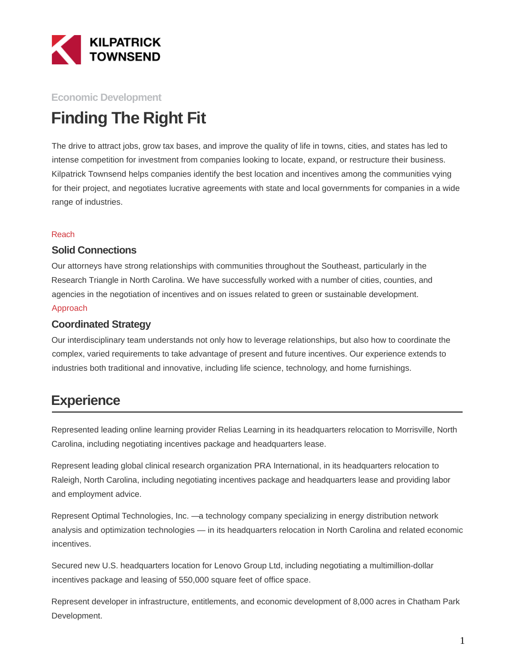

#### **Economic Development**

# **Finding The Right Fit**

The drive to attract jobs, grow tax bases, and improve the quality of life in towns, cities, and states has led to intense competition for investment from companies looking to locate, expand, or restructure their business. Kilpatrick Townsend helps companies identify the best location and incentives among the communities vying for their project, and negotiates lucrative agreements with state and local governments for companies in a wide range of industries.

#### Reach

#### **Solid Connections**

Our attorneys have strong relationships with communities throughout the Southeast, particularly in the Research Triangle in North Carolina. We have successfully worked with a number of cities, counties, and agencies in the negotiation of incentives and on issues related to green or sustainable development. Approach

#### **Coordinated Strategy**

Our interdisciplinary team understands not only how to leverage relationships, but also how to coordinate the complex, varied requirements to take advantage of present and future incentives. Our experience extends to industries both traditional and innovative, including life science, technology, and home furnishings.

### **Experience**

Represented leading online learning provider Relias Learning in its headquarters relocation to Morrisville, North Carolina, including negotiating incentives package and headquarters lease.

Represent leading global clinical research organization PRA International, in its headquarters relocation to Raleigh, North Carolina, including negotiating incentives package and headquarters lease and providing labor and employment advice.

Represent Optimal Technologies, Inc. —a technology company specializing in energy distribution network analysis and optimization technologies — in its headquarters relocation in North Carolina and related economic incentives.

Secured new U.S. headquarters location for Lenovo Group Ltd, including negotiating a multimillion-dollar incentives package and leasing of 550,000 square feet of office space.

Represent developer in infrastructure, entitlements, and economic development of 8,000 acres in Chatham Park Development.